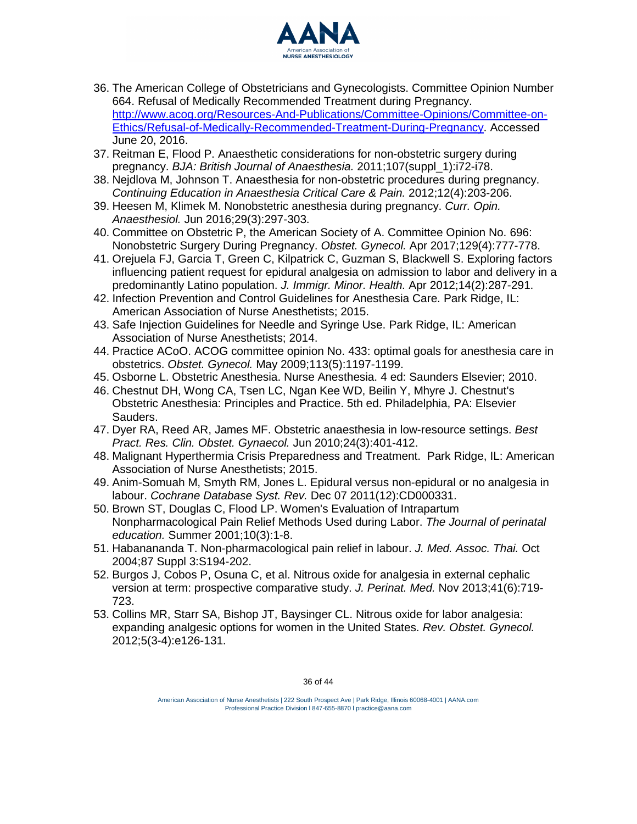

- 36. The American College of Obstetricians and Gynecologists. Committee Opinion Number 664. Refusal of Medically Recommended Treatment during Pregnancy. [http://www.acog.org/Resources-And-Publications/Committee-Opinions/Committee-on-](http://www.acog.org/Resources-And-Publications/Committee-Opinions/Committee-on-Ethics/Refusal-of-Medically-Recommended-Treatment-During-Pregnancy)[Ethics/Refusal-of-Medically-Recommended-Treatment-During-Pregnancy.](http://www.acog.org/Resources-And-Publications/Committee-Opinions/Committee-on-Ethics/Refusal-of-Medically-Recommended-Treatment-During-Pregnancy) Accessed June 20, 2016.
- 37. Reitman E, Flood P. Anaesthetic considerations for non-obstetric surgery during pregnancy. *BJA: British Journal of Anaesthesia.* 2011;107(suppl\_1):i72-i78.
- 38. Nejdlova M, Johnson T. Anaesthesia for non-obstetric procedures during pregnancy. *Continuing Education in Anaesthesia Critical Care & Pain.* 2012;12(4):203-206.
- 39. Heesen M, Klimek M. Nonobstetric anesthesia during pregnancy. *Curr. Opin. Anaesthesiol.* Jun 2016;29(3):297-303.
- 40. Committee on Obstetric P, the American Society of A. Committee Opinion No. 696: Nonobstetric Surgery During Pregnancy. *Obstet. Gynecol.* Apr 2017;129(4):777-778.
- 41. Orejuela FJ, Garcia T, Green C, Kilpatrick C, Guzman S, Blackwell S. Exploring factors influencing patient request for epidural analgesia on admission to labor and delivery in a predominantly Latino population. *J. Immigr. Minor. Health.* Apr 2012;14(2):287-291.
- 42. Infection Prevention and Control Guidelines for Anesthesia Care. Park Ridge, IL: American Association of Nurse Anesthesiology; 2015.
- 43. Safe Injection Guidelines for Needle and Syringe Use. Park Ridge, IL: American Association of Nurse Anesthesiology; 2014.
- 44. Practice ACoO. ACOG committee opinion No. 433: optimal goals for anesthesia care in obstetrics. *Obstet. Gynecol.* May 2009;113(5):1197-1199.
- 45. Osborne L. Obstetric Anesthesia. Nurse Anesthesia. 4 ed: Saunders Elsevier; 2010.
- 46. Chestnut DH, Wong CA, Tsen LC, Ngan Kee WD, Beilin Y, Mhyre J. Chestnut's Obstetric Anesthesia: Principles and Practice. 5th ed. Philadelphia, PA: Elsevier Sauders.
- 47. Dyer RA, Reed AR, James MF. Obstetric anaesthesia in low-resource settings. *Best Pract. Res. Clin. Obstet. Gynaecol.* Jun 2010;24(3):401-412.
- 48. Malignant Hyperthermia Crisis Preparedness and Treatment. Park Ridge, IL: American Association of Nurse Anesthesiology; 2015.
- 49. Anim-Somuah M, Smyth RM, Jones L. Epidural versus non-epidural or no analgesia in labour. *Cochrane Database Syst. Rev.* Dec 07 2011(12):CD000331.
- 50. Brown ST, Douglas C, Flood LP. Women's Evaluation of Intrapartum Nonpharmacological Pain Relief Methods Used during Labor. *The Journal of perinatal education.* Summer 2001;10(3):1-8.
- 51. Habanananda T. Non-pharmacological pain relief in labour. *J. Med. Assoc. Thai.* Oct 2004;87 Suppl 3:S194-202.
- 52. Burgos J, Cobos P, Osuna C, et al. Nitrous oxide for analgesia in external cephalic version at term: prospective comparative study. *J. Perinat. Med.* Nov 2013;41(6):719-723.
- 53. Collins MR, Starr SA, Bishop JT, Baysinger CL. Nitrous oxide for labor analgesia: expanding analgesic options for women in the United States. *Rev. Obstet. Gynecol.* 2012;5(3-4):e126-131.

<sup>\$</sup>PHULFDQ \$VVRFLDWoLLLTRRPLORSPecTRAMe | Park Ridge, Vilinibis 600662940001 WWKHVLRORJ\ | 222 S AANA.com Professional Practice Division l 847-655-8870 l [practice@aana](mailto:practice@aana.com).com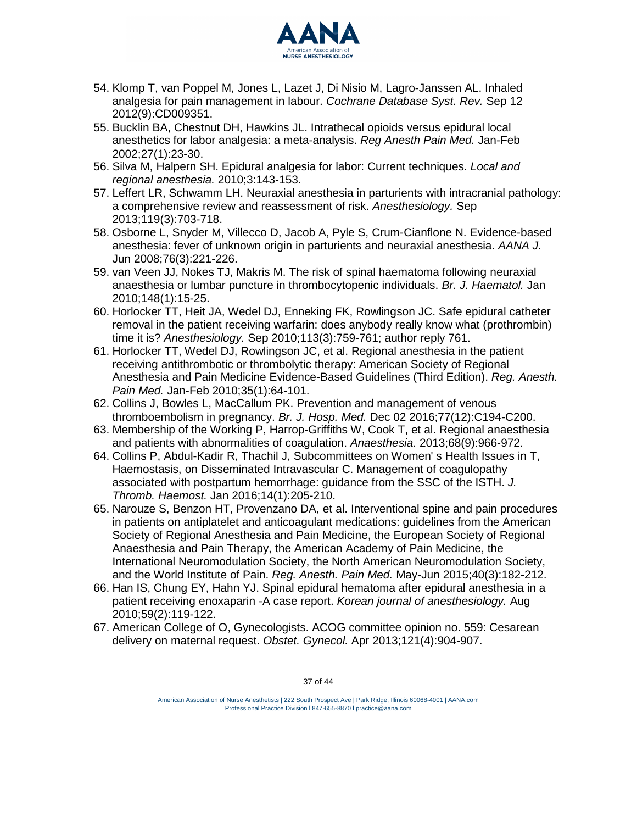

- 54. Klomp T, van Poppel M, Jones L, Lazet J, Di Nisio M, Lagro-Janssen AL. Inhaled analgesia for pain management in labour. *Cochrane Database Syst. Rev.* Sep 12 2012(9):CD009351.
- 55. Bucklin BA, Chestnut DH, Hawkins JL. Intrathecal opioids versus epidural local anesthetics for labor analgesia: a meta-analysis. *Reg Anesth Pain Med.* Jan-Feb 2002;27(1):23-30.
- 56. Silva M, Halpern SH. Epidural analgesia for labor: Current techniques. *Local and regional anesthesia.* 2010;3:143-153.
- 57. Leffert LR, Schwamm LH. Neuraxial anesthesia in parturients with intracranial pathology: a comprehensive review and reassessment of risk. *Anesthesiology.* Sep 2013;119(3):703-718.
- 58. Osborne L, Snyder M, Villecco D, Jacob A, Pyle S, Crum-Cianflone N. Evidence-based anesthesia: fever of unknown origin in parturients and neuraxial anesthesia. *AANA J.* Jun 2008;76(3):221-226.
- 59. van Veen JJ, Nokes TJ, Makris M. The risk of spinal haematoma following neuraxial anaesthesia or lumbar puncture in thrombocytopenic individuals. *Br. J. Haematol.* Jan 2010;148(1):15-25.
- 60. Horlocker TT, Heit JA, Wedel DJ, Enneking FK, Rowlingson JC. Safe epidural catheter removal in the patient receiving warfarin: does anybody really know what (prothrombin) time it is? *Anesthesiology.* Sep 2010;113(3):759-761; author reply 761.
- 61. Horlocker TT, Wedel DJ, Rowlingson JC, et al. Regional anesthesia in the patient receiving antithrombotic or thrombolytic therapy: American Society of Regional Anesthesia and Pain Medicine Evidence-Based Guidelines (Third Edition). *Reg. Anesth. Pain Med.* Jan-Feb 2010;35(1):64-101.
- 62. Collins J, Bowles L, MacCallum PK. Prevention and management of venous thromboembolism in pregnancy. *Br. J. Hosp. Med.* Dec 02 2016;77(12):C194-C200.
- 63. Membership of the Working P, Harrop-Griffiths W, Cook T, et al. Regional anaesthesia and patients with abnormalities of coagulation. *Anaesthesia.* 2013;68(9):966-972.
- 64. Collins P, Abdul-Kadir R, Thachil J, Subcommittees on Women' s Health Issues in T, Haemostasis, on Disseminated Intravascular C. Management of coagulopathy associated with postpartum hemorrhage: guidance from the SSC of the ISTH. *J. Thromb. Haemost.* Jan 2016;14(1):205-210.
- 65. Narouze S, Benzon HT, Provenzano DA, et al. Interventional spine and pain procedures in patients on antiplatelet and anticoagulant medications: guidelines from the American Society of Regional Anesthesia and Pain Medicine, the European Society of Regional Anaesthesia and Pain Therapy, the American Academy of Pain Medicine, the International Neuromodulation Society, the North American Neuromodulation Society, and the World Institute of Pain. *Reg. Anesth. Pain Med.* May-Jun 2015;40(3):182-212.
- 66. Han IS, Chung EY, Hahn YJ. Spinal epidural hematoma after epidural anesthesia in a patient receiving enoxaparin -A case report. *Korean journal of anesthesiology.* Aug 2010;59(2):119-122.
- 67. American College of O, Gynecologists. ACOG committee opinion no. 559: Cesarean delivery on maternal request. *Obstet. Gynecol.* Apr 2013;121(4):904-907.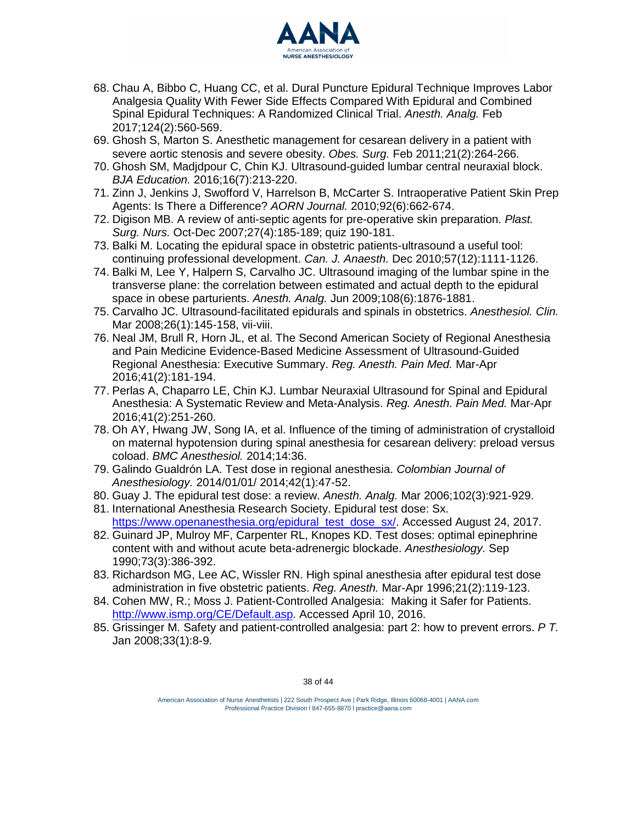

- 68. Chau A, Bibbo C, Huang CC, et al. Dural Puncture Epidural Technique Improves Labor Analgesia Quality With Fewer Side Effects Compared With Epidural and Combined Spinal Epidural Techniques: A Randomized Clinical Trial. *Anesth. Analg.* Feb 2017;124(2):560-569.
- 69. Ghosh S, Marton S. Anesthetic management for cesarean delivery in a patient with severe aortic stenosis and severe obesity. *Obes. Surg.* Feb 2011;21(2):264-266.
- 70. Ghosh SM, Madjdpour C, Chin KJ. Ultrasound-guided lumbar central neuraxial block. *BJA Education.* 2016;16(7):213-220.
- 71. Zinn J, Jenkins J, Swofford V, Harrelson B, McCarter S. Intraoperative Patient Skin Prep Agents: Is There a Difference? *AORN Journal.* 2010;92(6):662-674.
- 72. Digison MB. A review of anti-septic agents for pre-operative skin preparation. *Plast. Surg. Nurs.* Oct-Dec 2007;27(4):185-189; quiz 190-181.
- 73. Balki M. Locating the epidural space in obstetric patients-ultrasound a useful tool: continuing professional development. *Can. J. Anaesth.* Dec 2010;57(12):1111-1126.
- 74. Balki M, Lee Y, Halpern S, Carvalho JC. Ultrasound imaging of the lumbar spine in the transverse plane: the correlation between estimated and actual depth to the epidural space in obese parturients. *Anesth. Analg.* Jun 2009;108(6):1876-1881.
- 75. Carvalho JC. Ultrasound-facilitated epidurals and spinals in obstetrics. *Anesthesiol. Clin.* Mar 2008;26(1):145-158, vii-viii.
- 76. Neal JM, Brull R, Horn JL, et al. The Second American Society of Regional Anesthesia and Pain Medicine Evidence-Based Medicine Assessment of Ultrasound-Guided Regional Anesthesia: Executive Summary. *Reg. Anesth. Pain Med.* Mar-Apr 2016;41(2):181-194.
- 77. Perlas A, Chaparro LE, Chin KJ. Lumbar Neuraxial Ultrasound for Spinal and Epidural Anesthesia: A Systematic Review and Meta-Analysis. *Reg. Anesth. Pain Med.* Mar-Apr 2016;41(2):251-260.
- 78. Oh AY, Hwang JW, Song IA, et al. Influence of the timing of administration of crystalloid on maternal hypotension during spinal anesthesia for cesarean delivery: preload versus coload. *BMC Anesthesiol.* 2014;14:36.
- 79. Galindo Gualdrón LA. Test dose in regional anesthesia. *Colombian Journal of Anesthesiology.* 2014/01/01/ 2014;42(1):47-52.
- 80. Guay J. The epidural test dose: a review. *Anesth. Analg.* Mar 2006;102(3):921-929.
- 81. International Anesthesia Research Society. Epidural test dose: Sx. https:/[/www.openanesthesia.org/epidural\\_test\\_dose\\_sx/.](http://www.openanesthesia.org/epidural_test_dose_sx/) Accessed August 24, 2017.
- 82. Guinard JP, Mulroy MF, Carpenter RL, Knopes KD. Test doses: optimal epinephrine content with and without acute beta-adrenergic blockade. *Anesthesiology.* Sep 1990;73(3):386-392.
- 83. Richardson MG, Lee AC, Wissler RN. High spinal anesthesia after epidural test dose administration in five obstetric patients. *Reg. Anesth.* Mar-Apr 1996;21(2):119-123.
- 84. Cohen MW, R.; Moss J. Patient-Controlled Analgesia: Making it Safer for Patients. [http://www.ismp.org/CE/Default.asp.](http://www.ismp.org/CE/Default.asp) Accessed April 10, 2016.
- 85. Grissinger M. Safety and patient-controlled analgesia: part 2: how to prevent errors. *P T.* Jan 2008;33(1):8-9.

American Association of Nurse Anesthesiology | 222 South Prospect Ave | Park Ridge, Illinois 60068-4001 | AANA.com Professional Practice Division l 847-655-8870 l [practice@aana](mailto:practice@aana.com).com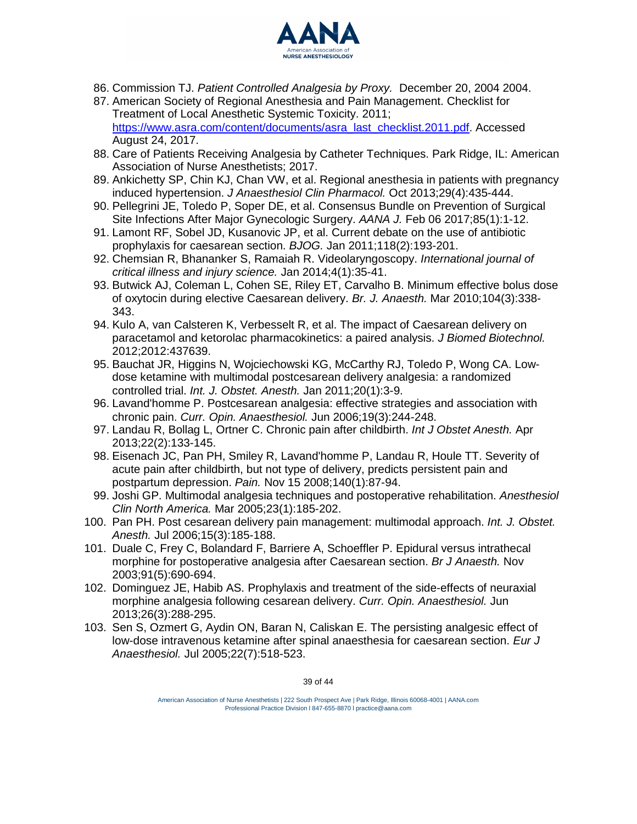

- 86. Commission TJ. *Patient Controlled Analgesia by Proxy.* December 20, 2004 2004.
- 87. American Society of Regional Anesthesia and Pain Management. Checklist for Treatment of Local Anesthetic Systemic Toxicity. 2011; https:/[/www.asra.com/content/documents/asra\\_last\\_checklist.2011.pdf.](http://www.asra.com/content/documents/asra_last_checklist.2011.pdf) Accessed August 24, 2017.
- 88. Care of Patients Receiving Analgesia by Catheter Techniques. Park Ridge, IL: American Association of Nurse Anesthetists; 2017.
- 89. Ankichetty SP, Chin KJ, Chan VW, et al. Regional anesthesia in patients with pregnancy induced hypertension. *J Anaesthesiol Clin Pharmacol.* Oct 2013;29(4):435-444.
- 90. Pellegrini JE, Toledo P, Soper DE, et al. Consensus Bundle on Prevention of Surgical Site Infections After Major Gynecologic Surgery. *AANA J.* Feb 06 2017;85(1):1-12.
- 91. Lamont RF, Sobel JD, Kusanovic JP, et al. Current debate on the use of antibiotic prophylaxis for caesarean section. *BJOG.* Jan 2011;118(2):193-201.
- 92. Chemsian R, Bhananker S, Ramaiah R. Videolaryngoscopy. *International journal of critical illness and injury science.* Jan 2014;4(1):35-41.
- 93. Butwick AJ, Coleman L, Cohen SE, Riley ET, Carvalho B. Minimum effective bolus dose of oxytocin during elective Caesarean delivery. *Br. J. Anaesth.* Mar 2010;104(3):338- 343.
- 94. Kulo A, van Calsteren K, Verbesselt R, et al. The impact of Caesarean delivery on paracetamol and ketorolac pharmacokinetics: a paired analysis. *J Biomed Biotechnol.* 2012;2012:437639.
- 95. Bauchat JR, Higgins N, Wojciechowski KG, McCarthy RJ, Toledo P, Wong CA. Lowdose ketamine with multimodal postcesarean delivery analgesia: a randomized controlled trial. *Int. J. Obstet. Anesth.* Jan 2011;20(1):3-9.
- 96. Lavand'homme P. Postcesarean analgesia: effective strategies and association with chronic pain. *Curr. Opin. Anaesthesiol.* Jun 2006;19(3):244-248.
- 97. Landau R, Bollag L, Ortner C. Chronic pain after childbirth. *Int J Obstet Anesth.* Apr 2013;22(2):133-145.
- 98. Eisenach JC, Pan PH, Smiley R, Lavand'homme P, Landau R, Houle TT. Severity of acute pain after childbirth, but not type of delivery, predicts persistent pain and postpartum depression. *Pain.* Nov 15 2008;140(1):87-94.
- 99. Joshi GP. Multimodal analgesia techniques and postoperative rehabilitation. *Anesthesiol Clin North America.* Mar 2005;23(1):185-202.
- 100. Pan PH. Post cesarean delivery pain management: multimodal approach. *Int. J. Obstet. Anesth.* Jul 2006;15(3):185-188.
- 101. Duale C, Frey C, Bolandard F, Barriere A, Schoeffler P. Epidural versus intrathecal morphine for postoperative analgesia after Caesarean section. *Br J Anaesth.* Nov 2003;91(5):690-694.
- 102. Dominguez JE, Habib AS. Prophylaxis and treatment of the side-effects of neuraxial morphine analgesia following cesarean delivery. *Curr. Opin. Anaesthesiol.* Jun 2013;26(3):288-295.
- 103. Sen S, Ozmert G, Aydin ON, Baran N, Caliskan E. The persisting analgesic effect of low-dose intravenous ketamine after spinal anaesthesia for caesarean section. *Eur J Anaesthesiol.* Jul 2005;22(7):518-523.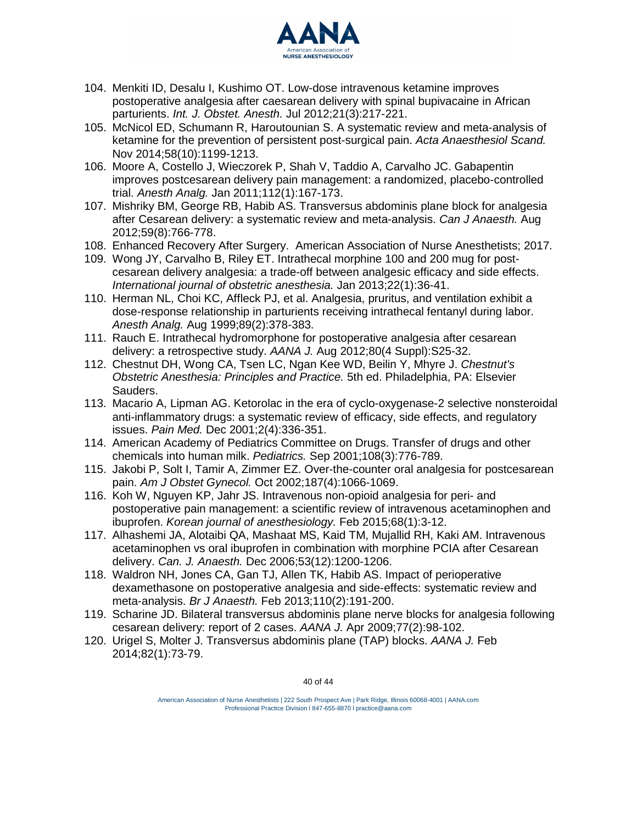

- 104. Menkiti ID, Desalu I, Kushimo OT. Low-dose intravenous ketamine improves postoperative analgesia after caesarean delivery with spinal bupivacaine in African parturients. *Int. J. Obstet. Anesth.* Jul 2012;21(3):217-221.
- 105. McNicol ED, Schumann R, Haroutounian S. A systematic review and meta-analysis of ketamine for the prevention of persistent post-surgical pain. *Acta Anaesthesiol Scand.* Nov 2014;58(10):1199-1213.
- 106. Moore A, Costello J, Wieczorek P, Shah V, Taddio A, Carvalho JC. Gabapentin improves postcesarean delivery pain management: a randomized, placebo-controlled trial. *Anesth Analg.* Jan 2011;112(1):167-173.
- 107. Mishriky BM, George RB, Habib AS. Transversus abdominis plane block for analgesia after Cesarean delivery: a systematic review and meta-analysis. *Can J Anaesth.* Aug 2012;59(8):766-778.
- 108. Enhanced Recovery After Surgery. American Association of Nurse Anesthesiology; 2017.
- 109. Wong JY, Carvalho B, Riley ET. Intrathecal morphine 100 and 200 mug for postcesarean delivery analgesia: a trade-off between analgesic efficacy and side effects. *International journal of obstetric anesthesia.* Jan 2013;22(1):36-41.
- 110. Herman NL, Choi KC, Affleck PJ, et al. Analgesia, pruritus, and ventilation exhibit a dose-response relationship in parturients receiving intrathecal fentanyl during labor. *Anesth Analg.* Aug 1999;89(2):378-383.
- 111. Rauch E. Intrathecal hydromorphone for postoperative analgesia after cesarean delivery: a retrospective study. *AANA J.* Aug 2012;80(4 Suppl):S25-32.
- 112. Chestnut DH, Wong CA, Tsen LC, Ngan Kee WD, Beilin Y, Mhyre J. *Chestnut's Obstetric Anesthesia: Principles and Practice.* 5th ed. Philadelphia, PA: Elsevier Sauders.
- 113. Macario A, Lipman AG. Ketorolac in the era of cyclo-oxygenase-2 selective nonsteroidal anti-inflammatory drugs: a systematic review of efficacy, side effects, and regulatory issues. *Pain Med.* Dec 2001;2(4):336-351.
- 114. American Academy of Pediatrics Committee on Drugs. Transfer of drugs and other chemicals into human milk. *Pediatrics.* Sep 2001;108(3):776-789.
- 115. Jakobi P, Solt I, Tamir A, Zimmer EZ. Over-the-counter oral analgesia for postcesarean pain. *Am J Obstet Gynecol.* Oct 2002;187(4):1066-1069.
- 116. Koh W, Nguyen KP, Jahr JS. Intravenous non-opioid analgesia for peri- and postoperative pain management: a scientific review of intravenous acetaminophen and ibuprofen. *Korean journal of anesthesiology.* Feb 2015;68(1):3-12.
- 117. Alhashemi JA, Alotaibi QA, Mashaat MS, Kaid TM, Mujallid RH, Kaki AM. Intravenous acetaminophen vs oral ibuprofen in combination with morphine PCIA after Cesarean delivery. *Can. J. Anaesth.* Dec 2006;53(12):1200-1206.
- 118. Waldron NH, Jones CA, Gan TJ, Allen TK, Habib AS. Impact of perioperative dexamethasone on postoperative analgesia and side-effects: systematic review and meta-analysis. *Br J Anaesth.* Feb 2013;110(2):191-200.
- 119. Scharine JD. Bilateral transversus abdominis plane nerve blocks for analgesia following cesarean delivery: report of 2 cases. *AANA J.* Apr 2009;77(2):98-102.
- 120. Urigel S, Molter J. Transversus abdominis plane (TAP) blocks. *AANA J.* Feb 2014;82(1):73-79.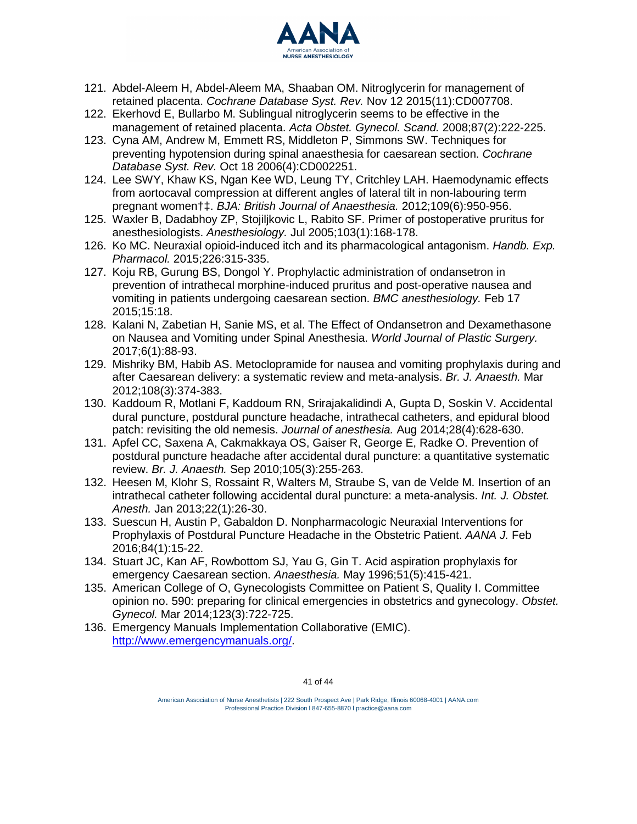

- 121. Abdel-Aleem H, Abdel-Aleem MA, Shaaban OM. Nitroglycerin for management of retained placenta. *Cochrane Database Syst. Rev.* Nov 12 2015(11):CD007708.
- 122. Ekerhovd E, Bullarbo M. Sublingual nitroglycerin seems to be effective in the management of retained placenta. *Acta Obstet. Gynecol. Scand.* 2008;87(2):222-225.
- 123. Cyna AM, Andrew M, Emmett RS, Middleton P, Simmons SW. Techniques for preventing hypotension during spinal anaesthesia for caesarean section. *Cochrane Database Syst. Rev.* Oct 18 2006(4):CD002251.
- 124. Lee SWY, Khaw KS, Ngan Kee WD, Leung TY, Critchley LAH. Haemodynamic effects from aortocaval compression at different angles of lateral tilt in non-labouring term pregnant women†‡. *BJA: British Journal of Anaesthesia.* 2012;109(6):950-956.
- 125. Waxler B, Dadabhoy ZP, Stojiljkovic L, Rabito SF. Primer of postoperative pruritus for anesthesiologists. *Anesthesiology.* Jul 2005;103(1):168-178.
- 126. Ko MC. Neuraxial opioid-induced itch and its pharmacological antagonism. *Handb. Exp. Pharmacol.* 2015;226:315-335.
- 127. Koju RB, Gurung BS, Dongol Y. Prophylactic administration of ondansetron in prevention of intrathecal morphine-induced pruritus and post-operative nausea and vomiting in patients undergoing caesarean section. *BMC anesthesiology.* Feb 17 2015;15:18.
- 128. Kalani N, Zabetian H, Sanie MS, et al. The Effect of Ondansetron and Dexamethasone on Nausea and Vomiting under Spinal Anesthesia. *World Journal of Plastic Surgery.* 2017;6(1):88-93.
- 129. Mishriky BM, Habib AS. Metoclopramide for nausea and vomiting prophylaxis during and after Caesarean delivery: a systematic review and meta-analysis. *Br. J. Anaesth.* Mar 2012;108(3):374-383.
- 130. Kaddoum R, Motlani F, Kaddoum RN, Srirajakalidindi A, Gupta D, Soskin V. Accidental dural puncture, postdural puncture headache, intrathecal catheters, and epidural blood patch: revisiting the old nemesis. *Journal of anesthesia.* Aug 2014;28(4):628-630.
- 131. Apfel CC, Saxena A, Cakmakkaya OS, Gaiser R, George E, Radke O. Prevention of postdural puncture headache after accidental dural puncture: a quantitative systematic review. *Br. J. Anaesth.* Sep 2010;105(3):255-263.
- 132. Heesen M, Klohr S, Rossaint R, Walters M, Straube S, van de Velde M. Insertion of an intrathecal catheter following accidental dural puncture: a meta-analysis. *Int. J. Obstet. Anesth.* Jan 2013;22(1):26-30.
- 133. Suescun H, Austin P, Gabaldon D. Nonpharmacologic Neuraxial Interventions for Prophylaxis of Postdural Puncture Headache in the Obstetric Patient. *AANA J.* Feb 2016;84(1):15-22.
- 134. Stuart JC, Kan AF, Rowbottom SJ, Yau G, Gin T. Acid aspiration prophylaxis for emergency Caesarean section. *Anaesthesia.* May 1996;51(5):415-421.
- 135. American College of O, Gynecologists Committee on Patient S, Quality I. Committee opinion no. 590: preparing for clinical emergencies in obstetrics and gynecology. *Obstet. Gynecol.* Mar 2014;123(3):722-725.
- 136. Emergency Manuals Implementation Collaborative (EMIC). [http://www.emergencymanuals.org/.](http://www.emergencymanuals.org/)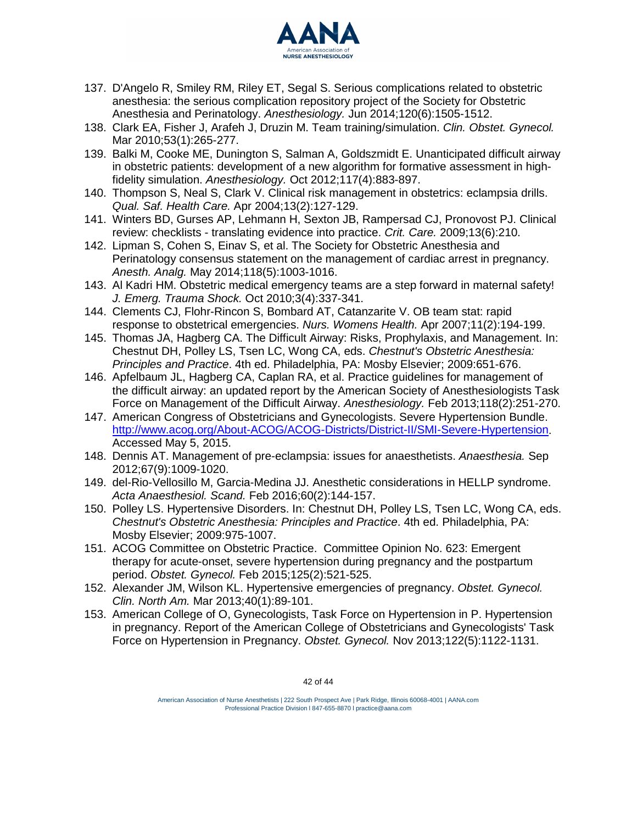

- 137. D'Angelo R, Smiley RM, Riley ET, Segal S. Serious complications related to obstetric anesthesia: the serious complication repository project of the Society for Obstetric Anesthesia and Perinatology. *Anesthesiology.* Jun 2014;120(6):1505-1512.
- 138. Clark EA, Fisher J, Arafeh J, Druzin M. Team training/simulation. *Clin. Obstet. Gynecol.* Mar 2010;53(1):265-277.
- 139. Balki M, Cooke ME, Dunington S, Salman A, Goldszmidt E. Unanticipated difficult airway in obstetric patients: development of a new algorithm for formative assessment in highfidelity simulation. *Anesthesiology.* Oct 2012;117(4):883-897.
- 140. Thompson S, Neal S, Clark V. Clinical risk management in obstetrics: eclampsia drills. *Qual. Saf. Health Care.* Apr 2004;13(2):127-129.
- 141. Winters BD, Gurses AP, Lehmann H, Sexton JB, Rampersad CJ, Pronovost PJ. Clinical review: checklists - translating evidence into practice. *Crit. Care.* 2009;13(6):210.
- 142. Lipman S, Cohen S, Einav S, et al. The Society for Obstetric Anesthesia and Perinatology consensus statement on the management of cardiac arrest in pregnancy. *Anesth. Analg.* May 2014;118(5):1003-1016.
- 143. Al Kadri HM. Obstetric medical emergency teams are a step forward in maternal safety! *J. Emerg. Trauma Shock.* Oct 2010;3(4):337-341.
- 144. Clements CJ, Flohr-Rincon S, Bombard AT, Catanzarite V. OB team stat: rapid response to obstetrical emergencies. *Nurs. Womens Health.* Apr 2007;11(2):194-199.
- 145. Thomas JA, Hagberg CA. The Difficult Airway: Risks, Prophylaxis, and Management. In: Chestnut DH, Polley LS, Tsen LC, Wong CA, eds. *Chestnut's Obstetric Anesthesia: Principles and Practice*. 4th ed. Philadelphia, PA: Mosby Elsevier; 2009:651-676.
- 146. Apfelbaum JL, Hagberg CA, Caplan RA, et al. Practice guidelines for management of the difficult airway: an updated report by the American Society of Anesthesiologists Task Force on Management of the Difficult Airway. *Anesthesiology.* Feb 2013;118(2):251-270.
- 147. American Congress of Obstetricians and Gynecologists. Severe Hypertension Bundle. [http://www.acog.org/About-ACOG/ACOG-Districts/District-II/SMI-Severe-Hypertension.](http://www.acog.org/About-ACOG/ACOG-Districts/District-II/SMI-Severe-Hypertension) Accessed May 5, 2015.
- 148. Dennis AT. Management of pre-eclampsia: issues for anaesthetists. *Anaesthesia.* Sep 2012;67(9):1009-1020.
- 149. del-Rio-Vellosillo M, Garcia-Medina JJ. Anesthetic considerations in HELLP syndrome. *Acta Anaesthesiol. Scand.* Feb 2016;60(2):144-157.
- 150. Polley LS. Hypertensive Disorders. In: Chestnut DH, Polley LS, Tsen LC, Wong CA, eds. *Chestnut's Obstetric Anesthesia: Principles and Practice*. 4th ed. Philadelphia, PA: Mosby Elsevier; 2009:975-1007.
- 151. ACOG Committee on Obstetric Practice. Committee Opinion No. 623: Emergent therapy for acute-onset, severe hypertension during pregnancy and the postpartum period. *Obstet. Gynecol.* Feb 2015;125(2):521-525.
- 152. Alexander JM, Wilson KL. Hypertensive emergencies of pregnancy. *Obstet. Gynecol. Clin. North Am.* Mar 2013;40(1):89-101.
- 153. American College of O, Gynecologists, Task Force on Hypertension in P. Hypertension in pregnancy. Report of the American College of Obstetricians and Gynecologists' Task Force on Hypertension in Pregnancy. *Obstet. Gynecol.* Nov 2013;122(5):1122-1131.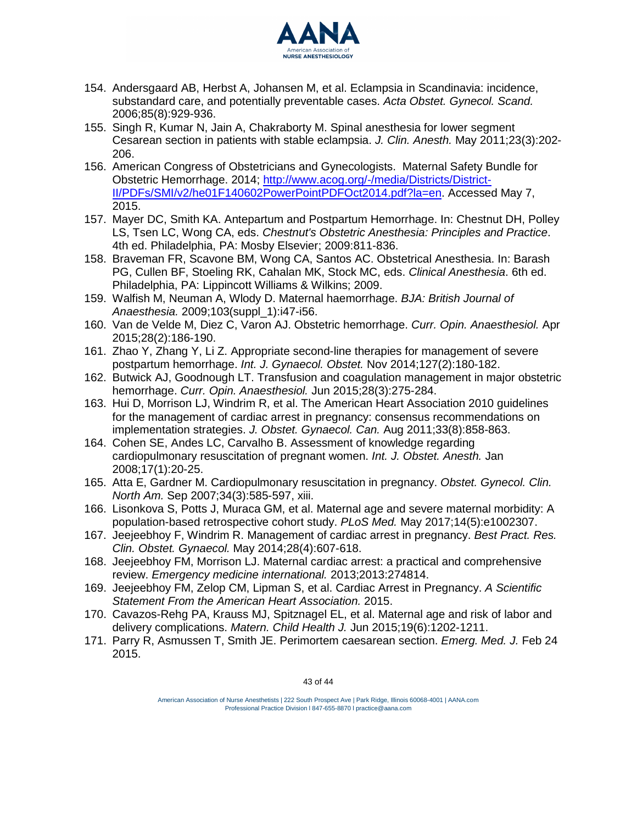

- 154. Andersgaard AB, Herbst A, Johansen M, et al. Eclampsia in Scandinavia: incidence, substandard care, and potentially preventable cases. *Acta Obstet. Gynecol. Scand.* 2006;85(8):929-936.
- 155. Singh R, Kumar N, Jain A, Chakraborty M. Spinal anesthesia for lower segment Cesarean section in patients with stable eclampsia. *J. Clin. Anesth.* May 2011;23(3):202- 206.
- 156. American Congress of Obstetricians and Gynecologists. Maternal Safety Bundle for Obstetric Hemorrhage. 2014; [http://www.acog.org/-/media/Districts/District-](http://www.acog.org/-/media/Districts/District-II/PDFs/SMI/v2/he01F140602PowerPointPDFOct2014.pdf?la=en)[II/PDFs/SMI/v2/he01F140602PowerPointPDFOct2014.pdf?la=en.](http://www.acog.org/-/media/Districts/District-II/PDFs/SMI/v2/he01F140602PowerPointPDFOct2014.pdf?la=en) Accessed May 7, 2015.
- 157. Mayer DC, Smith KA. Antepartum and Postpartum Hemorrhage. In: Chestnut DH, Polley LS, Tsen LC, Wong CA, eds. *Chestnut's Obstetric Anesthesia: Principles and Practice*. 4th ed. Philadelphia, PA: Mosby Elsevier; 2009:811-836.
- 158. Braveman FR, Scavone BM, Wong CA, Santos AC. Obstetrical Anesthesia. In: Barash PG, Cullen BF, Stoeling RK, Cahalan MK, Stock MC, eds. *Clinical Anesthesia*. 6th ed. Philadelphia, PA: Lippincott Williams & Wilkins; 2009.
- 159. Walfish M, Neuman A, Wlody D. Maternal haemorrhage. *BJA: British Journal of Anaesthesia.* 2009;103(suppl\_1):i47-i56.
- 160. Van de Velde M, Diez C, Varon AJ. Obstetric hemorrhage. *Curr. Opin. Anaesthesiol.* Apr 2015;28(2):186-190.
- 161. Zhao Y, Zhang Y, Li Z. Appropriate second-line therapies for management of severe postpartum hemorrhage. *Int. J. Gynaecol. Obstet.* Nov 2014;127(2):180-182.
- 162. Butwick AJ, Goodnough LT. Transfusion and coagulation management in major obstetric hemorrhage. *Curr. Opin. Anaesthesiol.* Jun 2015;28(3):275-284.
- 163. Hui D, Morrison LJ, Windrim R, et al. The American Heart Association 2010 guidelines for the management of cardiac arrest in pregnancy: consensus recommendations on implementation strategies. *J. Obstet. Gynaecol. Can.* Aug 2011;33(8):858-863.
- 164. Cohen SE, Andes LC, Carvalho B. Assessment of knowledge regarding cardiopulmonary resuscitation of pregnant women. *Int. J. Obstet. Anesth.* Jan 2008;17(1):20-25.
- 165. Atta E, Gardner M. Cardiopulmonary resuscitation in pregnancy. *Obstet. Gynecol. Clin. North Am.* Sep 2007;34(3):585-597, xiii.
- 166. Lisonkova S, Potts J, Muraca GM, et al. Maternal age and severe maternal morbidity: A population-based retrospective cohort study. *PLoS Med.* May 2017;14(5):e1002307.
- 167. Jeejeebhoy F, Windrim R. Management of cardiac arrest in pregnancy. *Best Pract. Res. Clin. Obstet. Gynaecol.* May 2014;28(4):607-618.
- 168. Jeejeebhoy FM, Morrison LJ. Maternal cardiac arrest: a practical and comprehensive review. *Emergency medicine international.* 2013;2013:274814.
- 169. Jeejeebhoy FM, Zelop CM, Lipman S, et al. Cardiac Arrest in Pregnancy. *A Scientific Statement From the American Heart Association.* 2015.
- 170. Cavazos-Rehg PA, Krauss MJ, Spitznagel EL, et al. Maternal age and risk of labor and delivery complications. *Matern. Child Health J.* Jun 2015;19(6):1202-1211.
- 171. Parry R, Asmussen T, Smith JE. Perimortem caesarean section. *Emerg. Med. J.* Feb 24 2015.